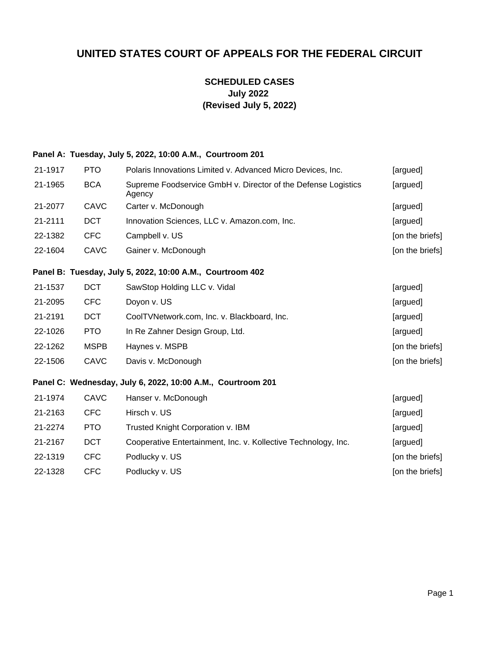# **UNITED STATES COURT OF APPEALS FOR THE FEDERAL CIRCUIT**

## **SCHEDULED CASES July 2022 (Revised July 5, 2022)**

## **Panel A: Tuesday, July 5, 2022, 10:00 A.M., Courtroom 201**

| 21-1917 | PTO         | Polaris Innovations Limited v. Advanced Micro Devices, Inc.             | [argued]        |
|---------|-------------|-------------------------------------------------------------------------|-----------------|
| 21-1965 | <b>BCA</b>  | Supreme Foodservice GmbH v. Director of the Defense Logistics<br>Agency | [argued]        |
| 21-2077 | <b>CAVC</b> | Carter v. McDonough                                                     | [argued]        |
| 21-2111 | <b>DCT</b>  | Innovation Sciences, LLC v. Amazon.com, Inc.                            | [argued]        |
| 22-1382 | <b>CFC</b>  | Campbell v. US                                                          | [on the briefs] |
| 22-1604 | CAVC        | Gainer v. McDonough                                                     | [on the briefs] |
|         |             | Panel B: Tuesday, July 5, 2022, 10:00 A.M., Courtroom 402               |                 |
| 21-1537 | <b>DCT</b>  | SawStop Holding LLC v. Vidal                                            | [argued]        |
| 21-2095 | <b>CFC</b>  | Doyon v. US                                                             | [argued]        |
| 21-2191 | <b>DCT</b>  | CoolTVNetwork.com, Inc. v. Blackboard, Inc.                             | [argued]        |
| 22-1026 | <b>PTO</b>  | In Re Zahner Design Group, Ltd.                                         | [argued]        |
| 22-1262 | <b>MSPB</b> | Haynes v. MSPB                                                          | [on the briefs] |
| 22-1506 | <b>CAVC</b> | Davis v. McDonough                                                      | [on the briefs] |
|         |             | Panel C: Wednesday, July 6, 2022, 10:00 A.M., Courtroom 201             |                 |
| 21-1974 | <b>CAVC</b> | Hanser v. McDonough                                                     | [argued]        |
| 21-2163 | <b>CFC</b>  | Hirsch v. US                                                            | [argued]        |
| 21-2274 | <b>PTO</b>  | Trusted Knight Corporation v. IBM                                       | [argued]        |
| 21-2167 | <b>DCT</b>  | Cooperative Entertainment, Inc. v. Kollective Technology, Inc.          | [argued]        |
| 22-1319 | <b>CFC</b>  | Podlucky v. US                                                          | [on the briefs] |
| 22-1328 | <b>CFC</b>  | Podlucky v. US                                                          | [on the briefs] |